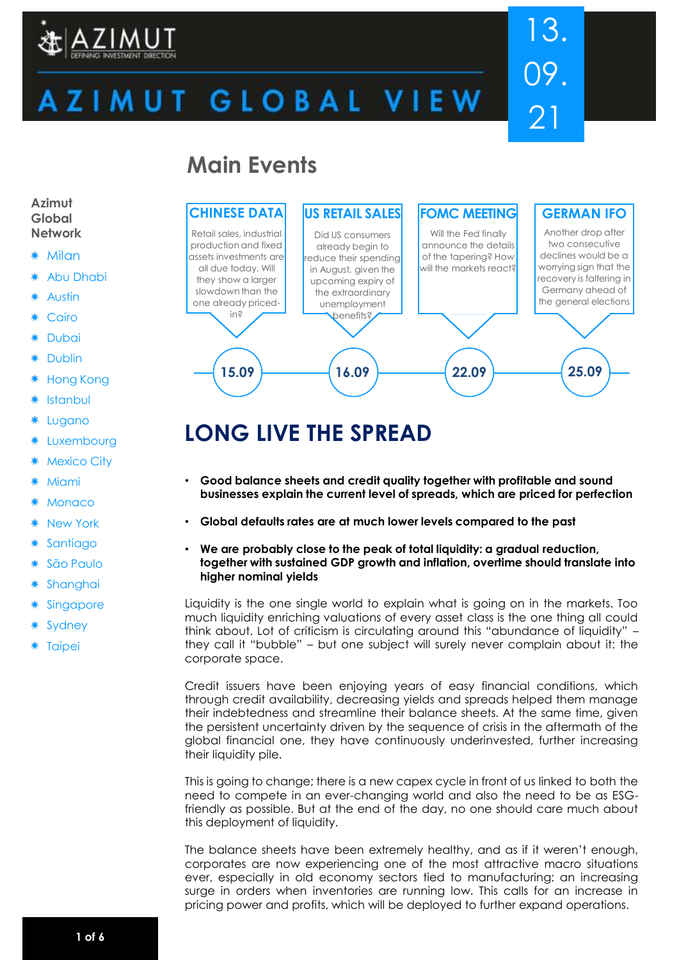

# 13. 09. 21

# ZIMUT GLOBAL VIEW

## **Main Events**



## **LONG LIVE THE SPREAD**

- **Good balance sheets and credit quality together with profitable and sound businesses explain the current level of spreads, which are priced for perfection**
- **Global defaults rates are at much lower levels compared to the past**
- **We are probably close to the peak of total liquidity: a gradual reduction, together with sustained GDP growth and inflation, overtime should translate into higher nominal yields**

Liquidity is the one single world to explain what is going on in the markets. Too much liquidity enriching valuations of every asset class is the one thing all could think about. Lot of criticism is circulating around this "abundance of liquidity" – they call it "bubble" – but one subject will surely never complain about it: the corporate space.

Credit issuers have been enjoying years of easy financial conditions, which through credit availability, decreasing yields and spreads helped them manage their indebtedness and streamline their balance sheets. At the same time, given the persistent uncertainty driven by the sequence of crisis in the aftermath of the global financial one, they have continuously underinvested, further increasing their liquidity pile.

This is going to change; there is a new capex cycle in front of us linked to both the need to compete in an ever-changing world and also the need to be as ESGfriendly as possible. But at the end of the day, no one should care much about this deployment of liquidity.

The balance sheets have been extremely healthy, and as if it weren't enough, corporates are now experiencing one of the most attractive macro situations ever, especially in old economy sectors tied to manufacturing: an increasing surge in orders when inventories are running low. This calls for an increase in pricing power and profits, which will be deployed to further expand operations.

#### **Azimut Global Network**

- **Milan**
- Abu Dhabi
- Austin
- Cairo
- \* Dubai
- Dublin
- Hong Kong
- Istanbul
- Lugano
- Luxembourg
- Mexico City
- Miami
- **Monaco**
- New York
- **Santiago**
- São Paulo
- Shanghai
- Singapore
- Sydney
- \* Taipei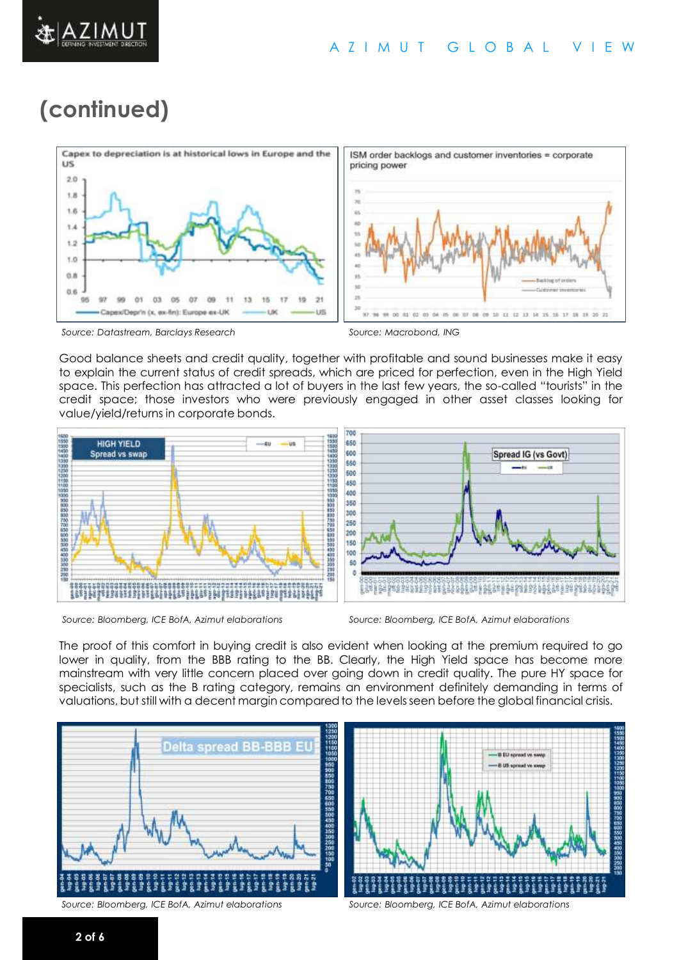

## **(continued)**



*Source: Datastream, Barclays Research Source: Macrobond, ING*

Good balance sheets and credit quality, together with profitable and sound businesses make it easy to explain the current status of credit spreads, which are priced for perfection, even in the High Yield space. This perfection has attracted a lot of buyers in the last few years, the so-called "tourists" in the credit space; those investors who were previously engaged in other asset classes looking for value/yield/returns in corporate bonds.



*Source: Bloomberg, ICE BofA, Azimut elaborations Source: Bloomberg, ICE BofA, Azimut elaborations*



The proof of this comfort in buying credit is also evident when looking at the premium required to go lower in quality, from the BBB rating to the BB. Clearly, the High Yield space has become more mainstream with very little concern placed over going down in credit quality. The pure HY space for specialists, such as the B rating category, remains an environment definitely demanding in terms of valuations, but still with a decent margin compared to the levels seen before the global financial crisis.



*Source: Bloomberg, ICE BofA, Azimut elaborations Source: Bloomberg, ICE BofA, Azimut elaborations*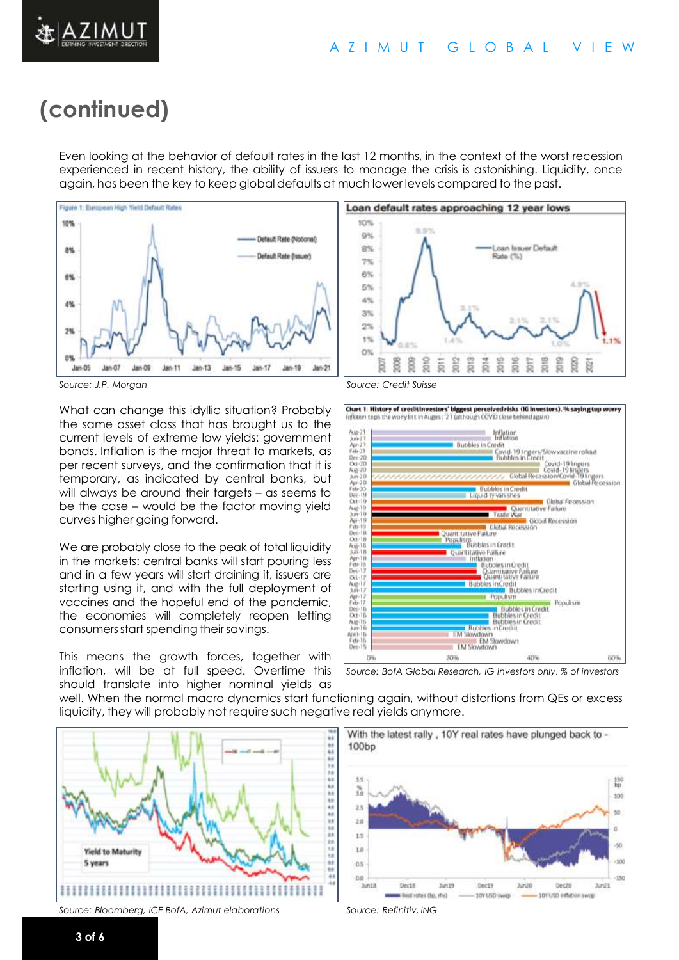

ZIMUT

Even looking at the behavior of default rates in the last 12 months, in the context of the worst recession experienced in recent history, the ability of issuers to manage the crisis is astonishing. Liquidity, once again, has been the key to keep global defaults at much lower levels compared to the past.



*Source: J.P. Morgan Source: Credit Suisse*

What can change this idyllic situation? Probably the same asset class that has brought us to the current levels of extreme low yields: government bonds. Inflation is the major threat to markets, as per recent surveys, and the confirmation that it is temporary, as indicated by central banks, but will always be around their targets – as seems to be the case – would be the factor moving yield curves higher going forward.

We are probably close to the peak of total liquidity in the markets: central banks will start pouring less and in a few years will start draining it, issuers are starting using it, and with the full deployment of vaccines and the hopeful end of the pandemic, the economies will completely reopen letting consumers start spending their savings.

This means the growth forces, together with inflation, will be at full speed. Overtime this should translate into higher nominal yields as



Chart 1: History of credit investors' biggest perceived risks (IG investors). % saying top worry distinct to ps the worry list in August '21 (although COVID close behind again)



*Source: BofA Global Research, IG investors only, % of investors*

well. When the normal macro dynamics start functioning again, without distortions from QEs or excess liquidity, they will probably not require such negative real yields anymore.



*Source: Bloomberg, ICE BofA, Azimut elaborations Source: Refinitiv, ING*



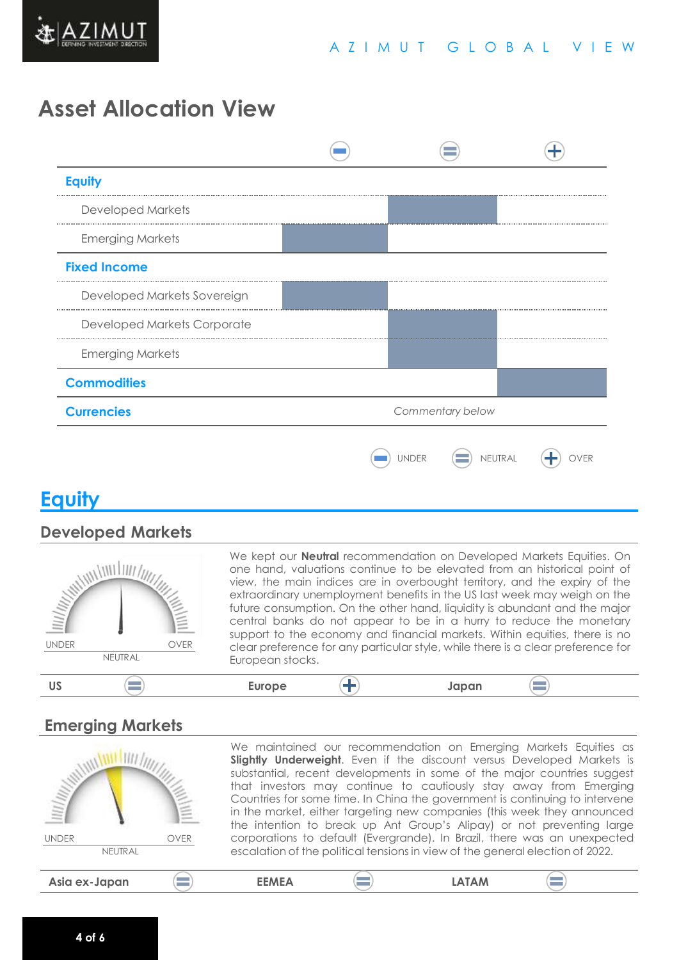

## **Asset Allocation View**

| <b>Equity</b>                         |  |              |  |         |
|---------------------------------------|--|--------------|--|---------|
| <b>Developed Markets</b>              |  |              |  |         |
| <b>Emerging Markets</b>               |  |              |  |         |
| <b>Fixed Income</b>                   |  |              |  |         |
| Developed Markets Sovereign           |  |              |  |         |
| Developed Markets Corporate           |  |              |  |         |
| <b>Emerging Markets</b>               |  |              |  |         |
| <b>Commodities</b>                    |  |              |  |         |
| <b>Currencies</b><br>Commentary below |  |              |  |         |
|                                       |  | <b>UNDER</b> |  | NEUTRAL |

## **Equity**

#### **Developed Markets**

| <u>IIII/III</u><br><b>UNDER</b><br><b>OVER</b><br>NEUTRAL | We kept our <b>Neutral</b> recommendation on Developed Markets Equities. On<br>one hand, valuations continue to be elevated from an historical point of<br>view, the main indices are in overbought territory, and the expiry of the<br>extraordinary unemployment benefits in the US last week may weigh on the<br>future consumption. On the other hand, liquidity is abundant and the major<br>central banks do not appear to be in a hurry to reduce the monetary<br>support to the economy and financial markets. Within equities, there is no<br>clear preference for any particular style, while there is a clear preference for<br>European stocks. |
|-----------------------------------------------------------|-------------------------------------------------------------------------------------------------------------------------------------------------------------------------------------------------------------------------------------------------------------------------------------------------------------------------------------------------------------------------------------------------------------------------------------------------------------------------------------------------------------------------------------------------------------------------------------------------------------------------------------------------------------|
|                                                           | <b>Europe</b><br>Japan                                                                                                                                                                                                                                                                                                                                                                                                                                                                                                                                                                                                                                      |

### **Emerging Markets**

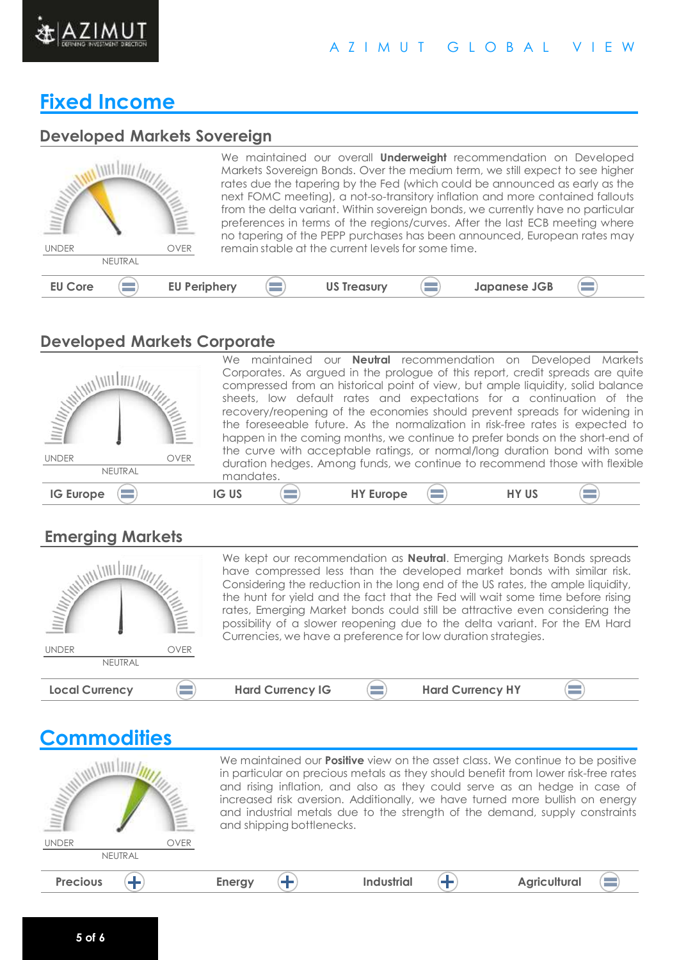

#### A Z I M U T G L O B A L V I E W

## **Fixed Income**

#### **Developed Markets Sovereign**

| <b>UNDER</b>   | NEUTRAL | <b>OVER</b>         | remain stable at the current levels for some time. | We maintained our overall <b>Underweight</b> recommendation on Developed<br>Markets Sovereign Bonds. Over the medium term, we still expect to see higher<br>rates due the tapering by the Fed (which could be announced as early as the<br>next FOMC meeting), a not-so-transitory inflation and more contained fallouts<br>from the delta variant. Within sovereign bonds, we currently have no particular<br>preferences in terms of the regions/curves. After the last ECB meeting where<br>no tapering of the PEPP purchases has been announced, European rates may |  |
|----------------|---------|---------------------|----------------------------------------------------|-------------------------------------------------------------------------------------------------------------------------------------------------------------------------------------------------------------------------------------------------------------------------------------------------------------------------------------------------------------------------------------------------------------------------------------------------------------------------------------------------------------------------------------------------------------------------|--|
| <b>EU Core</b> |         | <b>EU Periphery</b> | <b>US Treasury</b>                                 | <b>Japanese JGB</b>                                                                                                                                                                                                                                                                                                                                                                                                                                                                                                                                                     |  |

### **Developed Markets Corporate**



We maintained our **Neutral** recommendation on Developed Markets Corporates. As argued in the prologue of this report, credit spreads are quite compressed from an historical point of view, but ample liquidity, solid balance sheets, low default rates and expectations for a continuation of the recovery/reopening of the economies should prevent spreads for widening in the foreseeable future. As the normalization in risk-free rates is expected to happen in the coming months, we continue to prefer bonds on the short-end of the curve with acceptable ratings, or normal/long duration bond with some duration hedges. Among funds, we continue to recommend those with flexible mandates.

 $\equiv$ 

#### **Emerging Markets**

| <b>MANING</b>               | We kept our recommendation as <b>Neutral</b> . Emerging Markets Bonds spreads<br>have compressed less than the developed market bonds with similar risk.<br>Considering the reduction in the long end of the US rates, the ample liquidity,<br>the hunt for yield and the fact that the Fed will wait some time before rising<br>rates, Emerging Market bonds could still be attractive even considering the<br>possibility of a slower reopening due to the delta variant. For the EM Hard<br>Currencies, we have a preference for low duration strategies. |  |                         |  |  |  |
|-----------------------------|--------------------------------------------------------------------------------------------------------------------------------------------------------------------------------------------------------------------------------------------------------------------------------------------------------------------------------------------------------------------------------------------------------------------------------------------------------------------------------------------------------------------------------------------------------------|--|-------------------------|--|--|--|
| <b>UNDER</b><br><b>OVER</b> |                                                                                                                                                                                                                                                                                                                                                                                                                                                                                                                                                              |  |                         |  |  |  |
| NEUTRAL                     |                                                                                                                                                                                                                                                                                                                                                                                                                                                                                                                                                              |  |                         |  |  |  |
| <b>Local Currency</b>       | <b>Hard Currency IG</b>                                                                                                                                                                                                                                                                                                                                                                                                                                                                                                                                      |  | <b>Hard Currency HY</b> |  |  |  |

#### **Commodities** We maintained our **Positive** view on the asset class. We continue to be positive WILLIAM ANI / in particular on precious metals as they should benefit from lower risk-free rates and rising inflation, and also as they could serve as an hedge in case of increased risk aversion. Additionally, we have turned more bullish on energy and industrial metals due to the strength of the demand, supply constraints and shipping bottlenecks. UNDER OVER NEUTRAL **Precious**  $\left(\frac{1}{2}\right)$  **Energy**  $\left(\frac{1}{2}\right)$  **Industrial**  $\left(\frac{1}{2}\right)$  **Agricultural**  $\left( \blacksquare \right)$